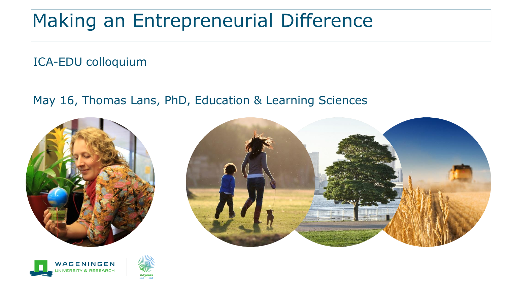### Making an Entrepreneurial Difference

ICA-EDU colloquium

May 16, Thomas Lans, PhD, Education & Learning Sciences







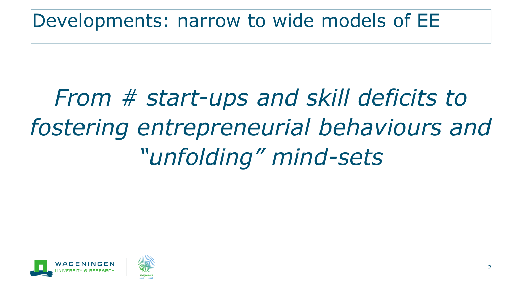Developments: narrow to wide models of EE

# *From # start-ups and skill deficits to fostering entrepreneurial behaviours and "unfolding" mind-sets*



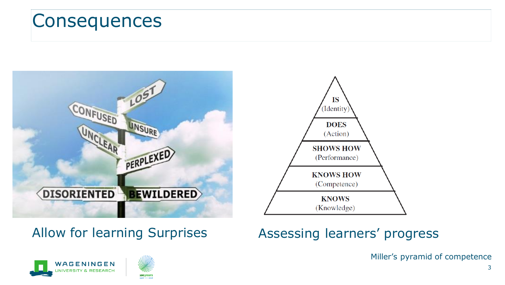#### **Consequences**



#### Allow for learning Surprises



#### Assessing learners' progress

Miller's pyramid of competence



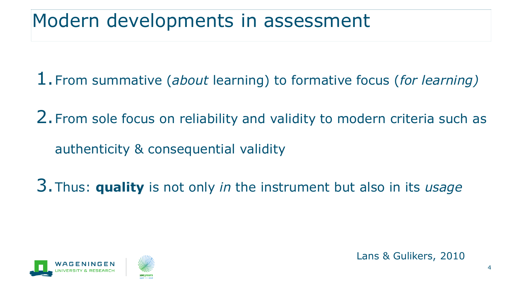#### Modern developments in assessment

1.From summative (*about* learning) to formative focus (*for learning)*

2.From sole focus on reliability and validity to modern criteria such as authenticity & consequential validity

3.Thus: **quality** is not only *in* the instrument but also in its *usage*



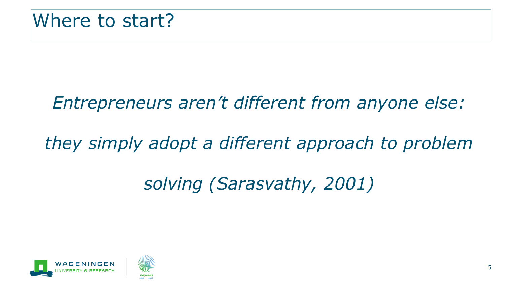#### *Entrepreneurs aren't different from anyone else:*

#### *they simply adopt a different approach to problem*

#### *solving (Sarasvathy, 2001)*



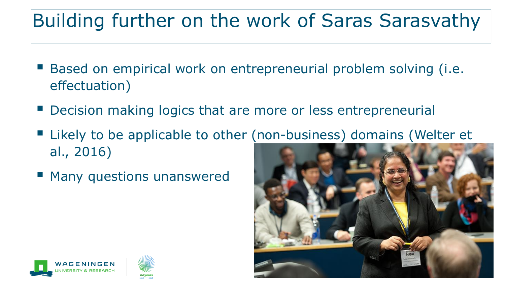### Building further on the work of Saras Sarasvathy

- Based on empirical work on entrepreneurial problem solving (i.e. effectuation)
- Decision making logics that are more or less entrepreneurial
- Likely to be applicable to other (non-business) domains (Welter et al., 2016)
- Many questions unanswered



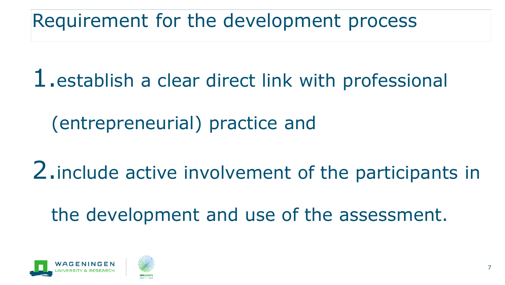Requirement for the development process

1.establish a clear direct link with professional

(entrepreneurial) practice and

2.include active involvement of the participants in

the development and use of the assessment.



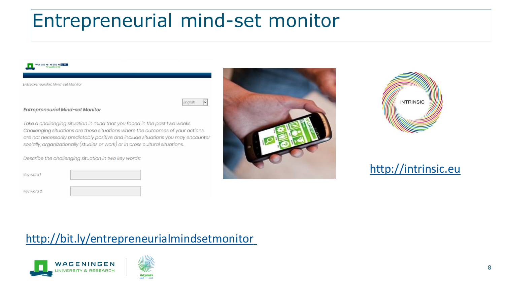### Entrepreneurial mind-set monitor





#### [http://intrinsic.eu](http://intrinsic.eu/)

#### <http://bit.ly/entrepreneurialmindsetmonitor>



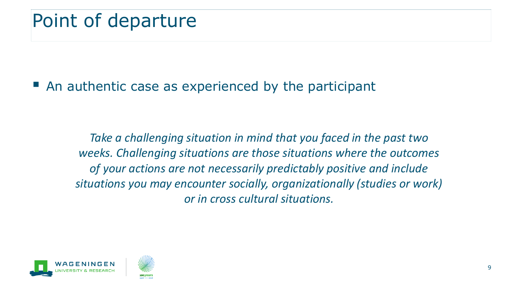$\blacksquare$  An authentic case as experienced by the participant

*Take a challenging situation in mind that you faced in the past two weeks. Challenging situations are those situations where the outcomes of your actions are not necessarily predictably positive and include situations you may encounter socially, organizationally (studies or work) or in cross cultural situations.*



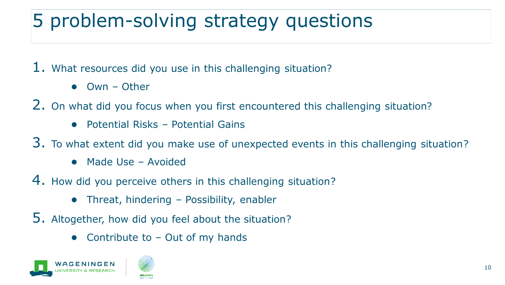# 5 problem-solving strategy questions

1. What resources did you use in this challenging situation?

- $Q$ wn Other
- 2. On what did you focus when you first encountered this challenging situation?
	- $\bullet$  Potential Risks Potential Gains
- 3. To what extent did you make use of unexpected events in this challenging situation?
	- Made Use Avoided
- 4. How did you perceive others in this challenging situation?
	- $\bullet$  Threat, hindering Possibility, enabler
- 5. Altogether, how did you feel about the situation?
	- Contribute to  $-$  Out of my hands



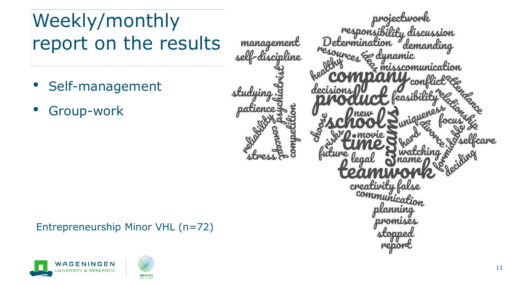### Weekly/monthly report on the results

- Self-management
- Group-work



#### Entrepreneurship Minor VHL (n=72)



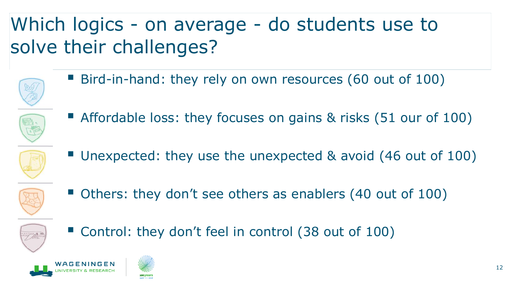## Which logics - on average - do students use to solve their challenges?

■ Bird-in-hand: they rely on own resources (60 out of 100)



**E** Affordable loss: they focuses on gains & risks (51 our of 100)



■ Unexpected: they use the unexpected & avoid (46 out of 100)



■ Others: they don't see others as enablers (40 out of 100)



■ Control: they don't feel in control (38 out of 100)



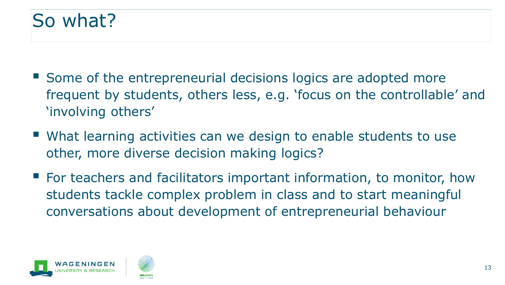#### So what?

- Some of the entrepreneurial decisions logics are adopted more frequent by students, others less, e.g. 'focus on the controllable' and 'involving others'
- What learning activities can we design to enable students to use other, more diverse decision making logics?
- For teachers and facilitators important information, to monitor, how students tackle complex problem in class and to start meaningful conversations about development of entrepreneurial behaviour



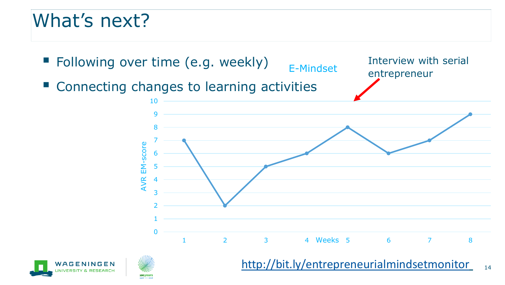#### What's next?







<http://bit.ly/entrepreneurialmindsetmonitor>